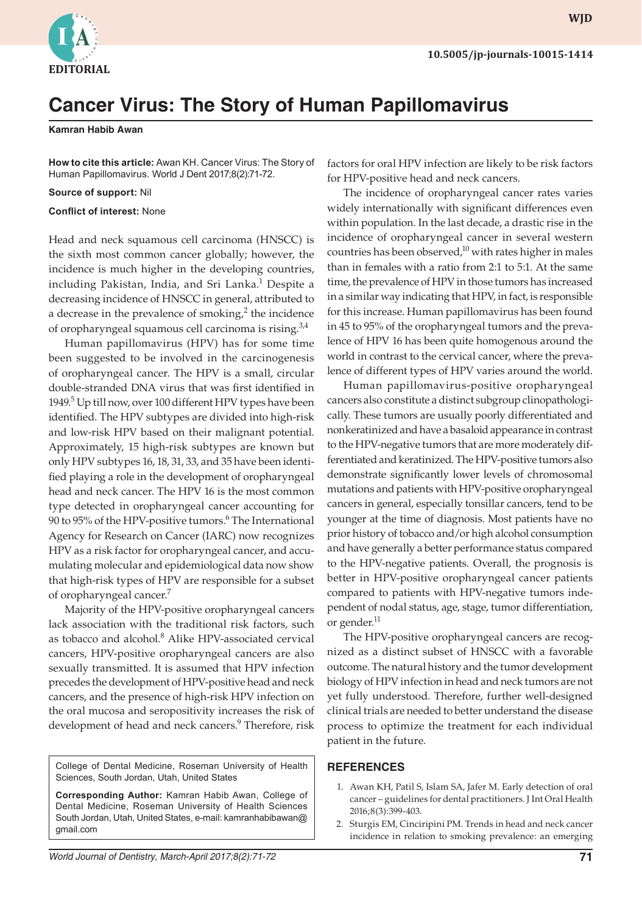

**WJD WJD**

## **Cancer Virus: The Story of Human Papillomavirus**

**Kamran Habib Awan**

**How to cite this article:** Awan KH. Cancer Virus: The Story of Human Papillomavirus. World J Dent 2017;8(2):71-72.

**Source of support:** Nil

**Conflict of interest:** None

Head and neck squamous cell carcinoma (HNSCC) is the sixth most common cancer globally; however, the incidence is much higher in the developing countries, including Pakistan, India, and Sri Lanka.<sup>1</sup> Despite a decreasing incidence of HNSCC in general, attributed to a decrease in the prevalence of smoking, $2$  the incidence of oropharyngeal squamous cell carcinoma is rising.<sup>3,4</sup>

Human papillomavirus (HPV) has for some time been suggested to be involved in the carcinogenesis of oropharyngeal cancer. The HPV is a small, circular double-stranded DNA virus that was first identified in 1949.<sup>5</sup> Up till now, over 100 different HPV types have been identified. The HPV subtypes are divided into high-risk and low-risk HPV based on their malignant potential. Approximately, 15 high-risk subtypes are known but only HPV subtypes 16, 18, 31, 33, and 35 have been identified playing a role in the development of oropharyngeal head and neck cancer. The HPV 16 is the most common type detected in oropharyngeal cancer accounting for 90 to 95% of the HPV-positive tumors.<sup>6</sup> The International Agency for Research on Cancer (IARC) now recognizes HPV as a risk factor for oropharyngeal cancer, and accumulating molecular and epidemiological data now show that high-risk types of HPV are responsible for a subset of oropharyngeal cancer.7

Majority of the HPV-positive oropharyngeal cancers lack association with the traditional risk factors, such as tobacco and alcohol.<sup>8</sup> Alike HPV-associated cervical cancers, HPV-positive oropharyngeal cancers are also sexually transmitted. It is assumed that HPV infection precedes the development of HPV-positive head and neck cancers, and the presence of high-risk HPV infection on the oral mucosa and seropositivity increases the risk of development of head and neck cancers.<sup>9</sup> Therefore, risk

College of Dental Medicine, Roseman University of Health Sciences, South Jordan, Utah, United States

**Corresponding Author:** Kamran Habib Awan, College of Dental Medicine, Roseman University of Health Sciences South Jordan, Utah, United States, e-mail: kamranhabibawan@ gmail.com

factors for oral HPV infection are likely to be risk factors for HPV-positive head and neck cancers.

The incidence of oropharyngeal cancer rates varies widely internationally with significant differences even within population. In the last decade, a drastic rise in the incidence of oropharyngeal cancer in several western countries has been observed, $10$  with rates higher in males than in females with a ratio from 2:1 to 5:1. At the same time, the prevalence of HPV in those tumors has increased in a similar way indicating that HPV, in fact, is responsible for this increase. Human papillomavirus has been found in 45 to 95% of the oropharyngeal tumors and the prevalence of HPV 16 has been quite homogenous around the world in contrast to the cervical cancer, where the prevalence of different types of HPV varies around the world.

Human papillomavirus-positive oropharyngeal cancers also constitute a distinct subgroup clinopathologically. These tumors are usually poorly differentiated and nonkeratinized and have a basaloid appearance in contrast to the HPV-negative tumors that are more moderately differentiated and keratinized. The HPV-positive tumors also demonstrate significantly lower levels of chromosomal mutations and patients with HPV-positive oropharyngeal cancers in general, especially tonsillar cancers, tend to be younger at the time of diagnosis. Most patients have no prior history of tobacco and/or high alcohol consumption and have generally a better performance status compared to the HPV-negative patients. Overall, the prognosis is better in HPV-positive oropharyngeal cancer patients compared to patients with HPV-negative tumors independent of nodal status, age, stage, tumor differentiation, or gender.<sup>11</sup>

The HPV-positive oropharyngeal cancers are recognized as a distinct subset of HNSCC with a favorable outcome. The natural history and the tumor development biology of HPV infection in head and neck tumors are not yet fully understood. Therefore, further well-designed clinical trials are needed to better understand the disease process to optimize the treatment for each individual patient in the future.

## **REFERENCES**

- 1. Awan KH, Patil S, Islam SA, Jafer M. Early detection of oral cancer – guidelines for dental practitioners. J Int Oral Health 2016;8(3):399-403.
- 2. Sturgis EM, Cinciripini PM. Trends in head and neck cancer incidence in relation to smoking prevalence: an emerging